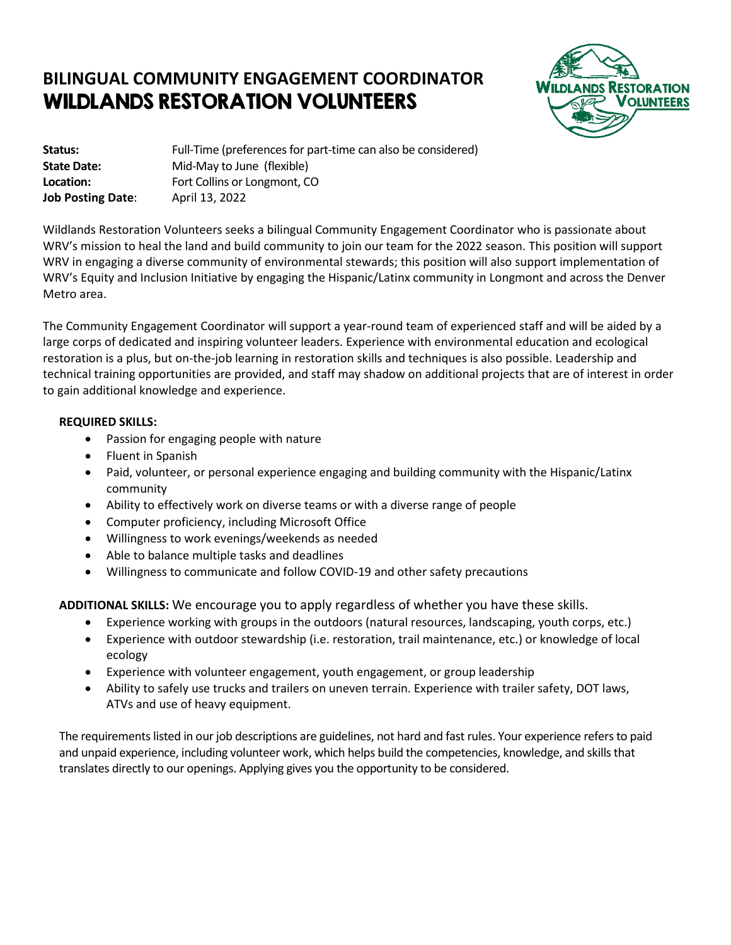## **BILINGUAL COMMUNITY ENGAGEMENT COORDINATOR** WILDLANDS RESTORATION VOLUNTEERS



**Status:** Full-Time (preferences for part-time can also be considered) **State Date:** Mid-May to June (flexible) **Location:** Fort Collins or Longmont, CO **Job Posting Date**: April 13, 2022

Wildlands Restoration Volunteers seeks a bilingual Community Engagement Coordinator who is passionate about WRV's mission to heal the land and build community to join our team for the 2022 season. This position will support WRV in engaging a diverse community of environmental stewards; this position will also support implementation of WRV's Equity and Inclusion Initiative by engaging the Hispanic/Latinx community in Longmont and across the Denver Metro area.

The Community Engagement Coordinator will support a year-round team of experienced staff and will be aided by a large corps of dedicated and inspiring volunteer leaders. Experience with environmental education and ecological restoration is a plus, but on-the-job learning in restoration skills and techniques is also possible. Leadership and technical training opportunities are provided, and staff may shadow on additional projects that are of interest in order to gain additional knowledge and experience.

## **REQUIRED SKILLS:**

- Passion for engaging people with nature
- Fluent in Spanish
- Paid, volunteer, or personal experience engaging and building community with the Hispanic/Latinx community
- Ability to effectively work on diverse teams or with a diverse range of people
- Computer proficiency, including Microsoft Office
- Willingness to work evenings/weekends as needed
- Able to balance multiple tasks and deadlines
- Willingness to communicate and follow COVID-19 and other safety precautions

**ADDITIONAL SKILLS:** We encourage you to apply regardless of whether you have these skills.

- Experience working with groups in the outdoors (natural resources, landscaping, youth corps, etc.)
- Experience with outdoor stewardship (i.e. restoration, trail maintenance, etc.) or knowledge of local ecology
- Experience with volunteer engagement, youth engagement, or group leadership
- Ability to safely use trucks and trailers on uneven terrain. Experience with trailer safety, DOT laws, ATVs and use of heavy equipment.

The requirements listed in our job descriptions are guidelines, not hard and fast rules. Your experience refers to paid and unpaid experience, including volunteer work, which helps build the competencies, knowledge, and skills that translates directly to our openings. Applying gives you the opportunity to be considered.